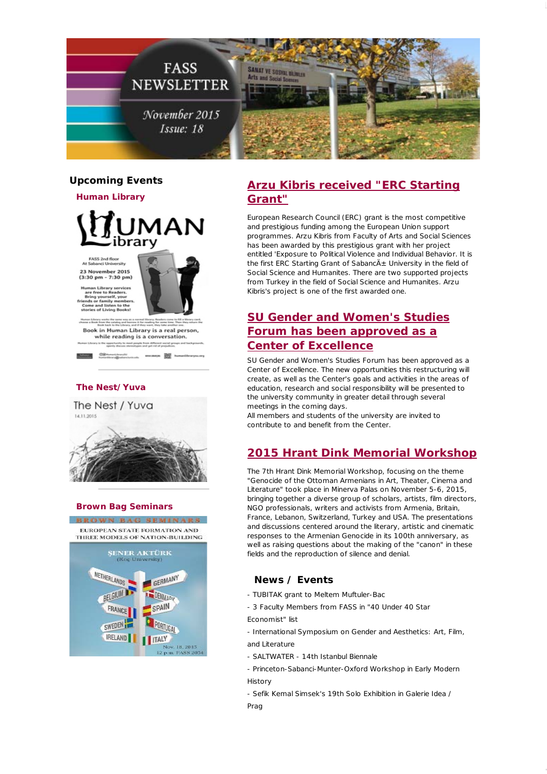

## **Upcoming Events**

**Human Library**



FASS 2nd floor<br>At Sabanci University 23 November 2015<br>(3:30 pm - 7:30 pm)

an Library services



- 89

r free to Readers.<br>ng yourself, your<br>: or family member<br>e and listen to the<br>es of Living Books! Book in Human Library is a real person,

while reading is a conversation.

#### **The Nest/Yuva**





## **[Arzu Kibris received "ERC Starting](http://fass.sabanciuniv.edu/en/announcements-detail/61430) Grant"**

European Research Council (ERC) grant is the most competitive and prestigious funding among the European Union support programmes. Arzu Kibris from Faculty of Arts and Social Sciences has been awarded by this prestigious grant with her project entitled 'Exposure to Political Violence and Individual Behavior. It is the first ERC Starting Grant of Sabanc $A_{\pm}$  University in the field of Social Science and Humanites. There are two supported projects from Turkey in the field of Social Science and Humanites. Arzu Kibris's project is one of the first awarded one.

# **[SU Gender and Women's Studies](http://fass.sabanciuniv.edu/en/announcements-detail/59078) Forum has been approved as a Center of Excellence**

SU Gender and Women's Studies Forum has been approved as a Center of Excellence. The new opportunities this restructuring will create, as well as the Center's goals and activities in the areas of education, research and social responsibility will be presented to the university community in greater detail through several meetings in the coming days.

All members and students of the university are invited to contribute to and benefit from the Center.

## **[2015 Hrant Dink Memorial Workshop](https://www.facebook.com/media/set/?set=a.1013306312064426.1073741837.133443910050675&type=3)**

The 7th Hrant Dink Memorial Workshop, focusing on the theme "Genocide of the Ottoman Armenians in Art, Theater, Cinema and Literature" took place in Minerva Palas on November 5-6, 2015, bringing together a diverse group of scholars, artists, film directors, NGO professionals, writers and activists from Armenia, Britain, France, Lebanon, Switzerland, Turkey and USA. The presentations and discussions centered around the literary, artistic and cinematic responses to the Armenian Genocide in its 100th anniversary, as well as raising questions about the making of the "canon" in these fields and the reproduction of silence and denial.

#### **News / Events**

- [TUBITAK grant to Meltem Muftuler-Bac](http://fass.sabanciuniv.edu/en/announcements-detail/61782)

[- 3 Faculty Members from FASS in "40 Under 40 Star](3 Faculty Members from FASS in "40 Under 40 Star) Economist" list

[- International Symposium on Gender and Aesthetics: Art, Film,](http://fass.sabanciuniv.edu/en/events-detail/15584) and Literature

- [SALTWATER - 14th Istanbul Biennale](http://fass.sabanciuniv.edu/en/events-detail/15278)

[- Princeton-Sabanci-Munter-Oxford Workshop in Early Modern](http://fass.sabanciuniv.edu/en/events-detail/15259) **History** 

- [Sefik Kemal Simsek's 19th Solo Exhibition in Galerie Idea /](http://fass.sabanciuniv.edu/en/announcements-detail/61832)
- Prag